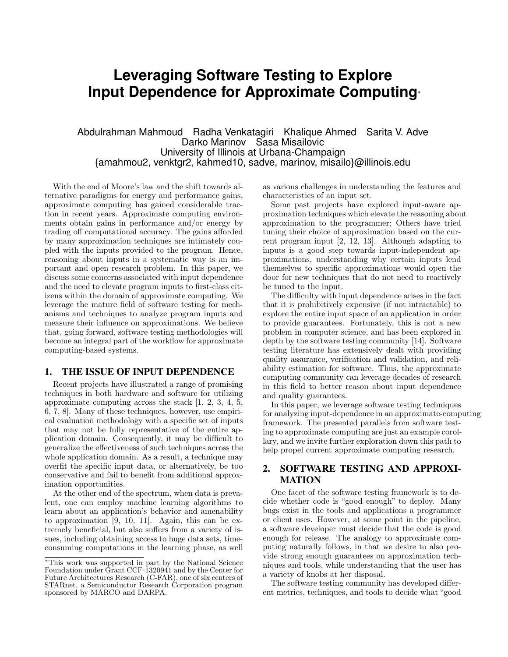# **Leveraging Software Testing to Explore Input Dependence for Approximate Computing**<sup>∗</sup>

## Abdulrahman Mahmoud Radha Venkatagiri Khalique Ahmed Sarita V. Adve Darko Marinov Sasa Misailovic University of Illinois at Urbana-Champaign {amahmou2, venktgr2, kahmed10, sadve, marinov, misailo}@illinois.edu

With the end of Moore's law and the shift towards alternative paradigms for energy and performance gains, approximate computing has gained considerable traction in recent years. Approximate computing environments obtain gains in performance and/or energy by trading off computational accuracy. The gains afforded by many approximation techniques are intimately coupled with the inputs provided to the program. Hence, reasoning about inputs in a systematic way is an important and open research problem. In this paper, we discuss some concerns associated with input dependence and the need to elevate program inputs to first-class citizens within the domain of approximate computing. We leverage the mature field of software testing for mechanisms and techniques to analyze program inputs and measure their influence on approximations. We believe that, going forward, software testing methodologies will become an integral part of the workflow for approximate computing-based systems.

#### 1. THE ISSUE OF INPUT DEPENDENCE

Recent projects have illustrated a range of promising techniques in both hardware and software for utilizing approximate computing across the stack [1, 2, 3, 4, 5, 6, 7, 8]. Many of these techniques, however, use empirical evaluation methodology with a specific set of inputs that may not be fully representative of the entire application domain. Consequently, it may be difficult to generalize the effectiveness of such techniques across the whole application domain. As a result, a technique may overfit the specific input data, or alternatively, be too conservative and fail to benefit from additional approximation opportunities.

At the other end of the spectrum, when data is prevalent, one can employ machine learning algorithms to learn about an application's behavior and amenability to approximation [9, 10, 11]. Again, this can be extremely beneficial, but also suffers from a variety of issues, including obtaining access to huge data sets, timeconsuming computations in the learning phase, as well

as various challenges in understanding the features and characteristics of an input set.

Some past projects have explored input-aware approximation techniques which elevate the reasoning about approximation to the programmer; Others have tried tuning their choice of approximation based on the current program input [2, 12, 13]. Although adapting to inputs is a good step towards input-independent approximations, understanding why certain inputs lend themselves to specific approximations would open the door for new techniques that do not need to reactively be tuned to the input.

The difficulty with input dependence arises in the fact that it is prohibitively expensive (if not intractable) to explore the entire input space of an application in order to provide guarantees. Fortunately, this is not a new problem in computer science, and has been explored in depth by the software testing community [14]. Software testing literature has extensively dealt with providing quality assurance, verification and validation, and reliability estimation for software. Thus, the approximate computing community can leverage decades of research in this field to better reason about input dependence and quality guarantees.

In this paper, we leverage software testing techniques for analyzing input-dependence in an approximate-computing framework. The presented parallels from software testing to approximate computing are just an example corollary, and we invite further exploration down this path to help propel current approximate computing research.

## 2. SOFTWARE TESTING AND APPROXI-MATION

One facet of the software testing framework is to decide whether code is "good enough" to deploy. Many bugs exist in the tools and applications a programmer or client uses. However, at some point in the pipeline, a software developer must decide that the code is good enough for release. The analogy to approximate computing naturally follows, in that we desire to also provide strong enough guarantees on approximation techniques and tools, while understanding that the user has a variety of knobs at her disposal.

The software testing community has developed different metrics, techniques, and tools to decide what "good

<sup>∗</sup>This work was supported in part by the National Science Foundation under Grant CCF-1320941 and by the Center for Future Architectures Research (C-FAR), one of six centers of STARnet, a Semiconductor Research Corporation program sponsored by MARCO and DARPA.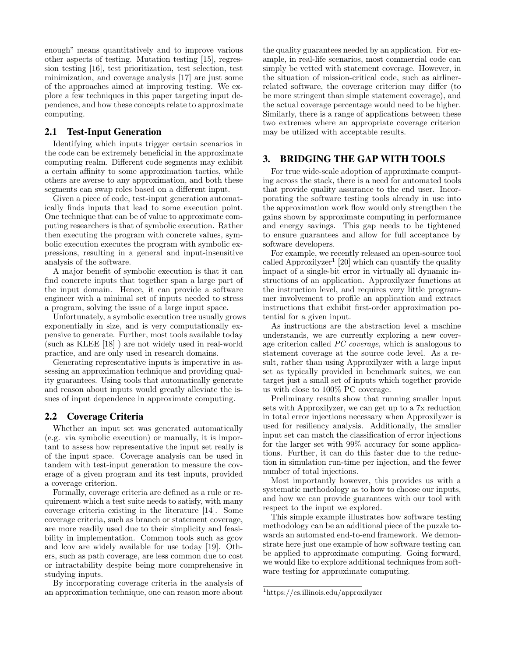enough" means quantitatively and to improve various other aspects of testing. Mutation testing [15], regression testing [16], test prioritization, test selection, test minimization, and coverage analysis [17] are just some of the approaches aimed at improving testing. We explore a few techniques in this paper targeting input dependence, and how these concepts relate to approximate computing.

#### 2.1 Test-Input Generation

Identifying which inputs trigger certain scenarios in the code can be extremely beneficial in the approximate computing realm. Different code segments may exhibit a certain affinity to some approximation tactics, while others are averse to any approximation, and both these segments can swap roles based on a different input.

Given a piece of code, test-input generation automatically finds inputs that lead to some execution point. One technique that can be of value to approximate computing researchers is that of symbolic execution. Rather then executing the program with concrete values, symbolic execution executes the program with symbolic expressions, resulting in a general and input-insensitive analysis of the software.

A major benefit of symbolic execution is that it can find concrete inputs that together span a large part of the input domain. Hence, it can provide a software engineer with a minimal set of inputs needed to stress a program, solving the issue of a large input space.

Unfortunately, a symbolic execution tree usually grows exponentially in size, and is very computationally expensive to generate. Further, most tools available today (such as KLEE [18] ) are not widely used in real-world practice, and are only used in research domains.

Generating representative inputs is imperative in assessing an approximation technique and providing quality guarantees. Using tools that automatically generate and reason about inputs would greatly alleviate the issues of input dependence in approximate computing.

#### 2.2 Coverage Criteria

Whether an input set was generated automatically (e.g. via symbolic execution) or manually, it is important to assess how representative the input set really is of the input space. Coverage analysis can be used in tandem with test-input generation to measure the coverage of a given program and its test inputs, provided a coverage criterion.

Formally, coverage criteria are defined as a rule or requirement which a test suite needs to satisfy, with many coverage criteria existing in the literature [14]. Some coverage criteria, such as branch or statement coverage, are more readily used due to their simplicity and feasibility in implementation. Common tools such as gcov and lcov are widely available for use today [19]. Others, such as path coverage, are less common due to cost or intractability despite being more comprehensive in studying inputs.

By incorporating coverage criteria in the analysis of an approximation technique, one can reason more about

the quality guarantees needed by an application. For example, in real-life scenarios, most commercial code can simply be vetted with statement coverage. However, in the situation of mission-critical code, such as airlinerrelated software, the coverage criterion may differ (to be more stringent than simple statement coverage), and the actual coverage percentage would need to be higher. Similarly, there is a range of applications between these two extremes where an appropriate coverage criterion may be utilized with acceptable results.

### 3. BRIDGING THE GAP WITH TOOLS

For true wide-scale adoption of approximate computing across the stack, there is a need for automated tools that provide quality assurance to the end user. Incorporating the software testing tools already in use into the approximation work flow would only strengthen the gains shown by approximate computing in performance and energy savings. This gap needs to be tightened to ensure guarantees and allow for full acceptance by software developers.

For example, we recently released an open-source tool called Approxilyzer<sup>1</sup> [20] which can quantify the quality impact of a single-bit error in virtually all dynamic instructions of an application. Approxilyzer functions at the instruction level, and requires very little programmer involvement to profile an application and extract instructions that exhibit first-order approximation potential for a given input.

As instructions are the abstraction level a machine understands, we are currently exploring a new coverage criterion called PC coverage, which is analogous to statement coverage at the source code level. As a result, rather than using Approxilyzer with a large input set as typically provided in benchmark suites, we can target just a small set of inputs which together provide us with close to 100% PC coverage.

Preliminary results show that running smaller input sets with Approxilyzer, we can get up to a 7x reduction in total error injections necessary when Approxilyzer is used for resiliency analysis. Additionally, the smaller input set can match the classification of error injections for the larger set with 99% accuracy for some applications. Further, it can do this faster due to the reduction in simulation run-time per injection, and the fewer number of total injections.

Most importantly however, this provides us with a systematic methodology as to how to choose our inputs, and how we can provide guarantees with our tool with respect to the input we explored.

This simple example illustrates how software testing methodology can be an additional piece of the puzzle towards an automated end-to-end framework. We demonstrate here just one example of how software testing can be applied to approximate computing. Going forward, we would like to explore additional techniques from software testing for approximate computing.

<sup>1</sup>https://cs.illinois.edu/approxilyzer